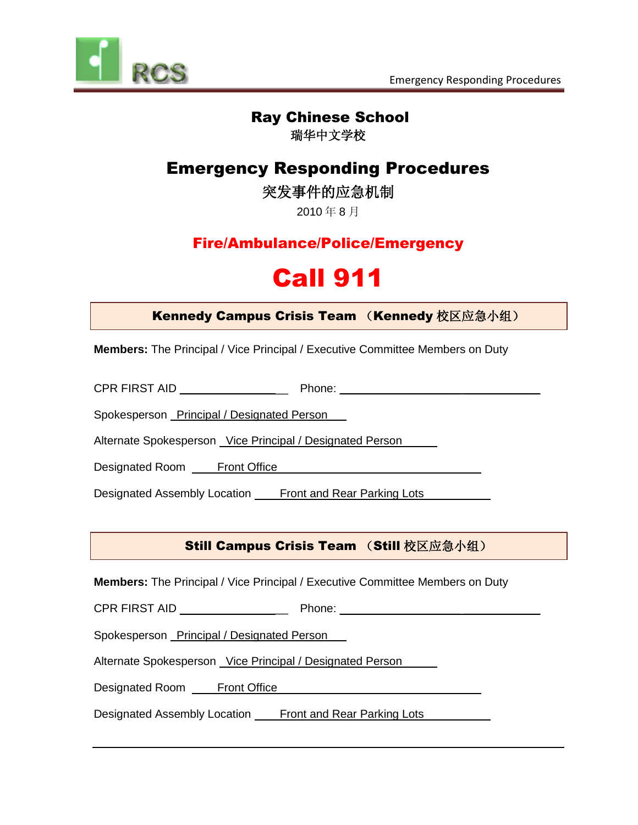



# Ray Chinese School

瑞华中文学校

# Emergency Responding Procedures

突发事件的应急机制

2010 年 8 月

# Fire/Ambulance/Police/Emergency

# Call 911

### Kennedy Campus Crisis Team (Kennedy 校区应急小组)

**Members:** The Principal / Vice Principal / Executive Committee Members on Duty

CPR FIRST AID \_\_\_\_\_\_\_\_\_\_\_\_\_\_\_\_\_ Phone: \_\_\_\_\_\_\_\_\_\_\_\_\_\_\_\_\_\_\_ \_\_\_\_\_\_\_\_\_\_\_\_

Spokesperson Principal / Designated Person .

Alternate Spokesperson Vice Principal / Designated Person

Designated Room Front Office .

Designated Assembly Location Front and Rear Parking Lots

### Still Campus Crisis Team (Still 校区应急小组)

**Members:** The Principal / Vice Principal / Executive Committee Members on Duty

CPR FIRST AID \_\_\_\_\_\_\_\_\_\_\_\_\_\_\_\_\_ Phone: \_\_\_\_\_\_\_\_\_\_\_\_\_\_\_\_\_\_\_ \_\_\_\_\_\_\_\_\_\_\_\_

Spokesperson Principal / Designated Person

Alternate Spokesperson Vice Principal / Designated Person .

Designated Room Front Office

Designated Assembly Location **Front and Rear Parking Lots**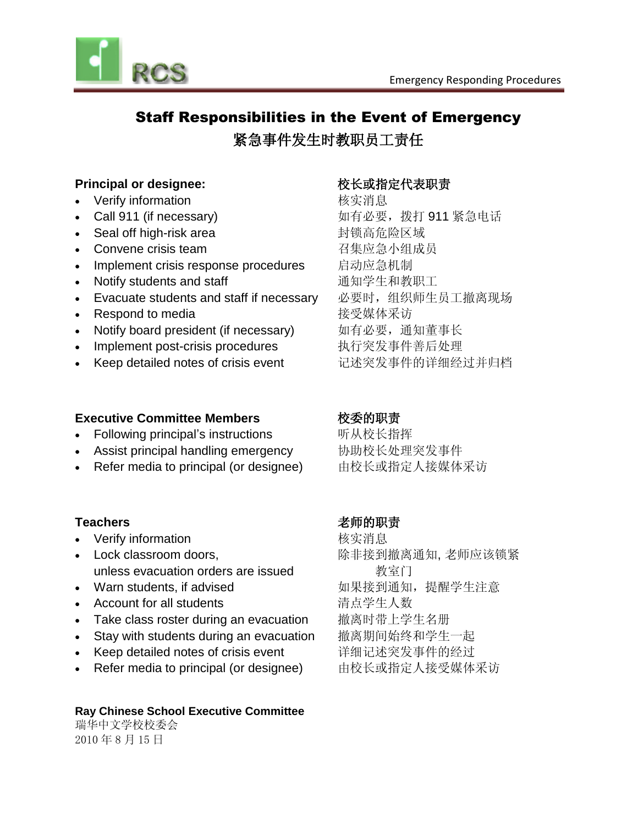

# Staff Responsibilities in the Event of Emergency 紧急事件发生时教职员工责任

#### **Principal or designee:** オンラントンの検査の検索を実現する

- Verify information **Warehouse of the Market Warehouse Market Market Warehouse Market Warehouse New York Charles**
- Call 911 (if necessary) 如有必要,拨打 911 紧急电话
- Seal off high-risk area 封锁高危险区域
- Convene crisis team <br>
 Particle Policing Particle Particle Particle Particle Particle Particle Particle Particle Particle Particle
- Implement crisis response procedures 启动应急机制
- Notify students and staff **be a controlled by a controlled by a controlled by a controlled by a controlled by**
- Evacuate students and staff if necessary 3必要时,组织师生员工撤离现场
- Respond to media https://www.franking.com/distance/setter/setter/setter/
- Notify board president (if necessary) 如有必要, 通知董事长
- Implement post-crisis procedures 执行突发事件善后处理
- Keep detailed notes of crisis event <br>
记述突发事件的详细经过并归档

#### **Executive Committee Members the original original original original original original original original original or**  $\mathbb{R}$  $\mathbb{R}$  $\mathbb{R}$  $\mathbb{R}$  $\mathbb{R}$  $\mathbb{R}$  $\mathbb{R}$  $\mathbb{R}$  $\mathbb{R}$  $\mathbb{R}$  $\mathbb{R}$  **\math**

- Following principal's instructions 听从校长指挥
- Assist principal handling emergency 协助校长处理突发事件
- Refer media to principal (or designee) 由校长或指定人接媒体采访

- Verify information **the contract of the contract of the contract of the contract of the contract of the contract of the contract of the contract of the contract of the contract of the contract of the contract of the con**
- Lock classroom doors, 除非接到撤离通知, 老师应该锁紧 unless evacuation orders are issued 教室门
- 
- Account for all students <br> **Account for all students**
- Take class roster during an evacuation 撤离时带上学生名册
- Stay with students during an evacuation 撤离期间始终和学生一起
- Keep detailed notes of crisis event 详细记述突发事件的经过
- Refer media to principal (or designee) 由校长或指定人接受媒体采访

#### **Ray Chinese School Executive Committee**

瑞华中文学校校委会 2010 年 8 月 15 日

#### Teachers **No. 2018 2018 12:00 12:00 12:00 12:00 12:00 12:00 12:00 12:00 12:00 12:00 12:00 12:00 12:00 12:00 12:0**

• Warn students, if advised **be a managed by a straight ware** 如果接到通知, 提醒学生注意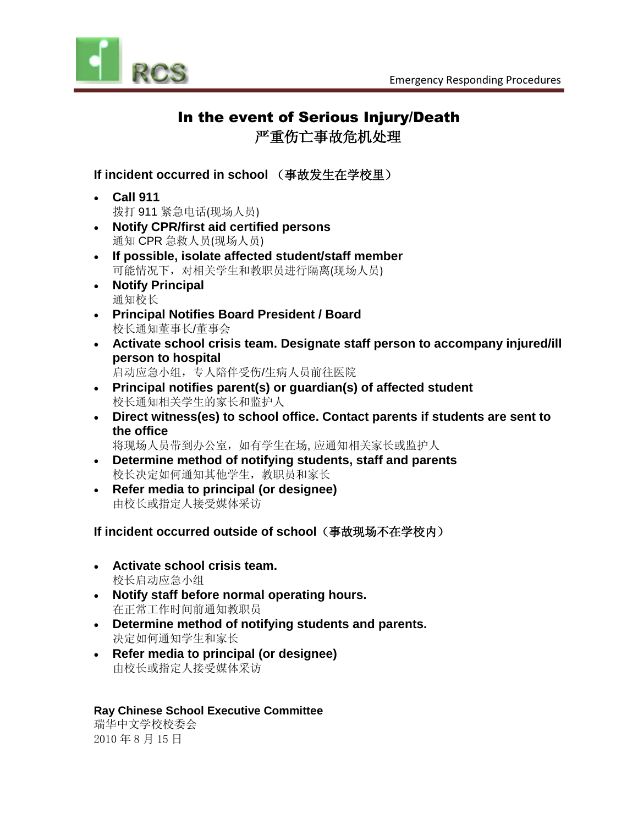

# In the event of Serious Injury/Death

严重伤亡事故危机处理

#### **If incident occurred in school** (事故发生在学校里)

- **Call 911** 拨打 911 紧急电话(现场人员)
- **Notify CPR/first aid certified persons**  通知 CPR 急救人员(现场人员)
- **If possible, isolate affected student/staff member** 可能情况下,对相关学生和教职员进行隔离(现场人员)
- **Notify Principal** 通知校长
- **Principal Notifies Board President / Board** 校长通知董事长/董事会
- **Activate school crisis team. Designate staff person to accompany injured/ill person to hospital**

启动应急小组,专人陪伴受伤/生病人员前往医院

- **Principal notifies parent(s) or guardian(s) of affected student** 校长通知相关学生的家长和监护人
- **Direct witness(es) to school office. Contact parents if students are sent to the office**

将现场人员带到办公室,如有学生在场, 应通知相关家长或监护人

- **Determine method of notifying students, staff and parents** 校长决定如何通知其他学生,教职员和家长
- **Refer media to principal (or designee)** 由校长或指定人接受媒体采访

#### **If incident occurred outside of school**(事故现场不在学校内)

- **Activate school crisis team.**  校长启动应急小组
- **Notify staff before normal operating hours.**  在正常工作时间前通知教职员
- **Determine method of notifying students and parents.**  决定如何通知学生和家长
- **Refer media to principal (or designee)** 由校长或指定人接受媒体采访

#### **Ray Chinese School Executive Committee**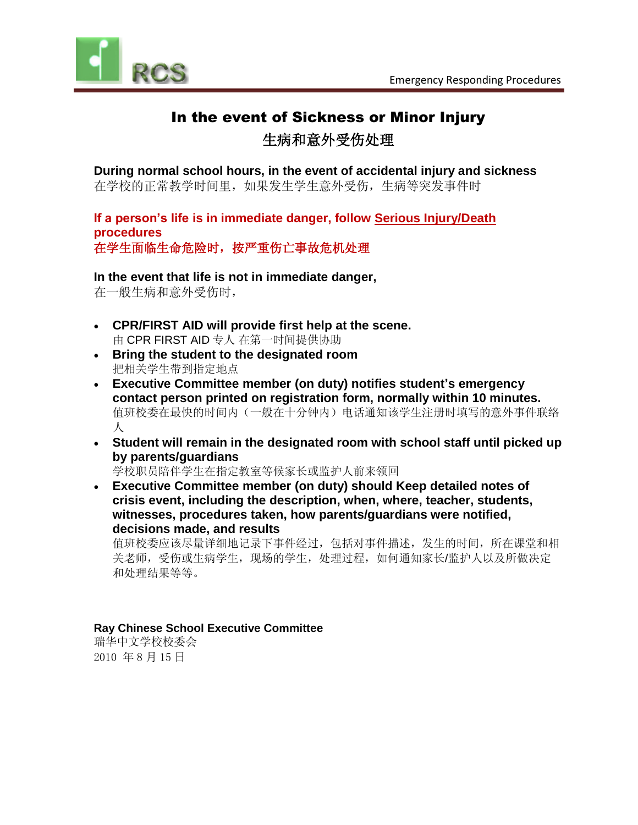

# In the event of Sickness or Minor Injury

# 生病和意外受伤处理

**During normal school hours, in the event of accidental injury and sickness** 在学校的正常教学时间里,如果发生学生意外受伤,生病等突发事件时

**If a person's life is in immediate danger, follow Serious Injury/Death procedures** 在学生面临生命危险时,按严重伤亡事故危机处理

#### **In the event that life is not in immediate danger,**

在一般生病和意外受伤时,

- **CPR/FIRST AID will provide first help at the scene.**  由 CPR FIRST AID 专人 在第一时间提供协助
- **Bring the student to the designated room** 把相关学生带到指定地点
- **Executive Committee member (on duty) notifies student's emergency contact person printed on registration form, normally within 10 minutes.**  值班校委在最快的时间内(一般在十分钟内)电话通知该学生注册时填写的意外事件联络 人
- **Student will remain in the designated room with school staff until picked up by parents/guardians**

学校职员陪伴学生在指定教室等候家长或监护人前来领回

 **Executive Committee member (on duty) should Keep detailed notes of crisis event, including the description, when, where, teacher, students, witnesses, procedures taken, how parents/guardians were notified, decisions made, and results**

值班校委应该尽量详细地记录下事件经过,包括对事件描述,发生的时间,所在课堂和相 关老师,受伤或生病学生,现场的学生,处理过程,如何通知家长/监护人以及所做决定 和处理结果等等。

#### **Ray Chinese School Executive Committee**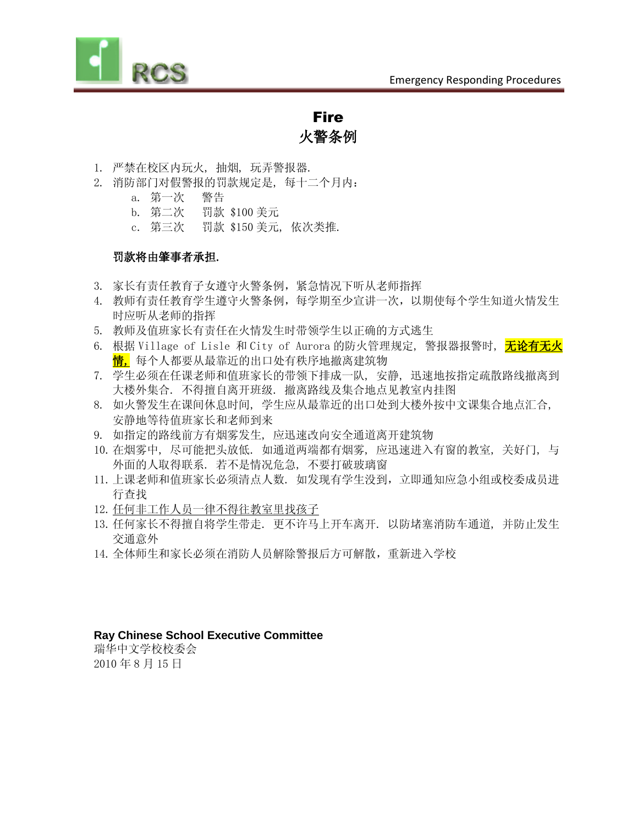

Fire 火警条例

- 1. 严禁在校区内玩火, 抽烟, 玩弄警报器.
- 2. 消防部门对假警报的罚款规定是, 每十二个月内:
	- a. 第一次 警告
	- b. 第二次 罚款 \$100 美元
	- c. 第三次 罚款 \$150 美元, 依次类推.

#### 罚款将由肇事者承担.

- 3. 家长有责任教育子女遵守火警条例,紧急情况下听从老师指挥
- 4. 教师有责任教育学生遵守火警条例,每学期至少宣讲一次,以期使每个学生知道火情发生 时应听从老师的指挥
- 5. 教师及值班家长有责任在火情发生时带领学生以正确的方式逃生
- 6. 根据 Village of Lisle 和 City of Aurora 的防火管理规定,警报器报警时,<mark>无论有无火</mark> 情, 每个人都要从最靠近的出口处有秩序地撤离建筑物
- 7. 学生必须在任课老师和值班家长的带领下排成一队, 安静, 迅速地按指定疏散路线撤离到 大楼外集合. 不得擅自离开班级. 撤离路线及集合地点见教室内挂图
- 8. 如火警发生在课间休息时间, 学生应从最靠近的出口处到大楼外按中文课集合地点汇合, 安静地等待值班家长和老师到来
- 9. 如指定的路线前方有烟雾发生, 应迅速改向安全通道离开建筑物
- 10.在烟雾中, 尽可能把头放低. 如通道两端都有烟雾, 应迅速进入有窗的教室, 关好门, 与 外面的人取得联系. 若不是情况危急, 不要打破玻璃窗
- 11.上课老师和值班家长必须清点人数. 如发现有学生没到,立即通知应急小组或校委成员进 行查找
- 12.任何非工作人员一律不得往教室里找孩子
- 13.任何家长不得擅自将学生带走. 更不许马上开车离开. 以防堵塞消防车通道, 并防止发生 交通意外
- 14.全体师生和家长必须在消防人员解除警报后方可解散,重新进入学校

#### **Ray Chinese School Executive Committee**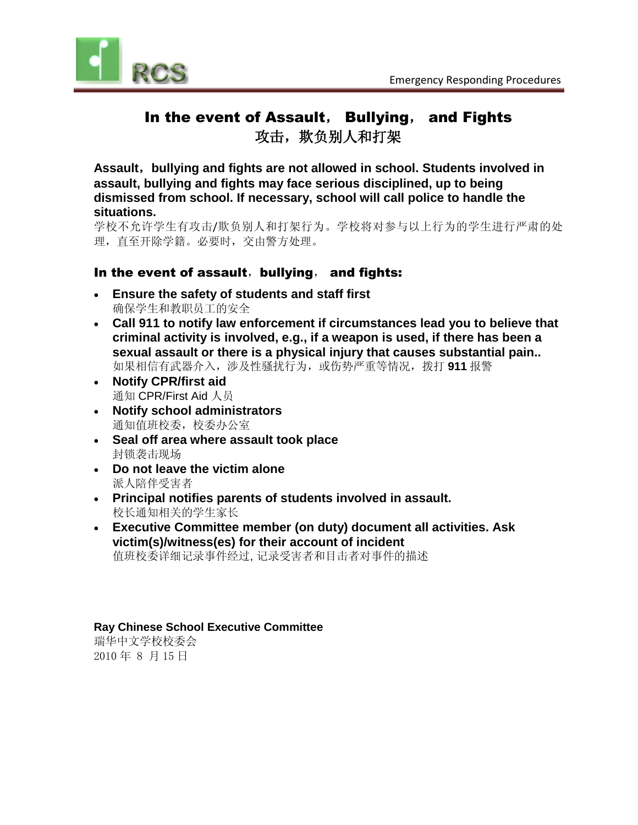

# In the event of Assault, Bullying, and Fights 攻击,欺负别人和打架

**Assault**,**bullying and fights are not allowed in school. Students involved in assault, bullying and fights may face serious disciplined, up to being dismissed from school. If necessary, school will call police to handle the situations.**

学校不允许学生有攻击/欺负别人和打架行为。学校将对参与以上行为的学生进行严肃的处 理,直至开除学籍。必要时,交由警方处理。

#### In the event of assault, bullying, and fights:

- **Ensure the safety of students and staff first** 确保学生和教职员工的安全
- **Call 911 to notify law enforcement if circumstances lead you to believe that criminal activity is involved, e.g., if a weapon is used, if there has been a sexual assault or there is a physical injury that causes substantial pain..**  如果相信有武器介入,涉及性骚扰行为,或伤势严重等情况,拨打 **911** 报警
- **Notify CPR/first aid**  通知 CPR/First Aid 人员
- **Notify school administrators** 通知值班校委,校委办公室
- **Seal off area where assault took place** 封锁袭击现场
- **Do not leave the victim alone** 派人陪伴受害者
- **Principal notifies parents of students involved in assault.**  校长通知相关的学生家长
- **Executive Committee member (on duty) document all activities. Ask victim(s)/witness(es) for their account of incident** 值班校委详细记录事件经过, 记录受害者和目击者对事件的描述

#### **Ray Chinese School Executive Committee**